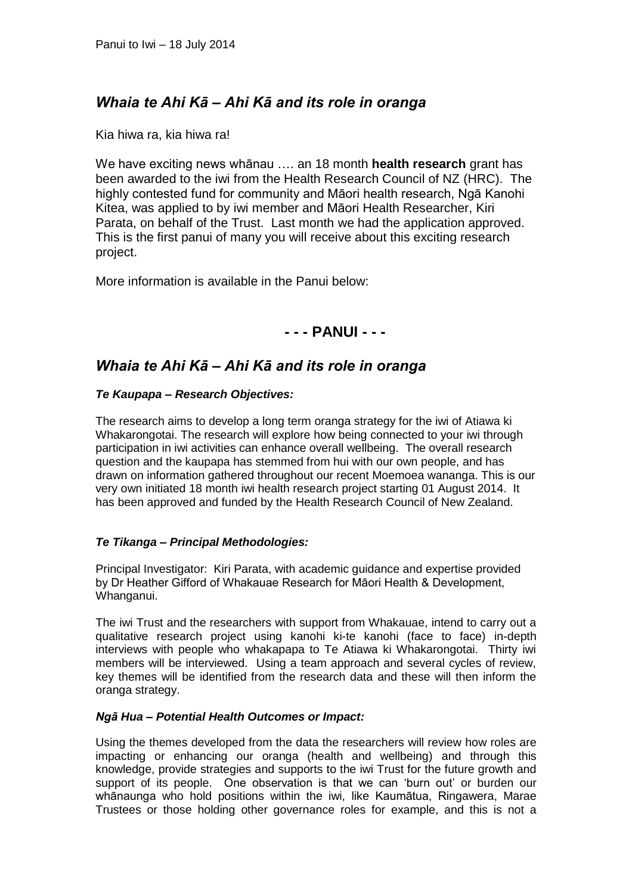# *Whaia te Ahi Kā – Ahi Kā and its role in oranga*

Kia hiwa ra, kia hiwa ra!

We have exciting news whānau …. an 18 month **health research** grant has been awarded to the iwi from the Health Research Council of NZ (HRC). The highly contested fund for community and Māori health research, Ngā Kanohi Kitea, was applied to by iwi member and Māori Health Researcher, Kiri Parata, on behalf of the Trust. Last month we had the application approved. This is the first panui of many you will receive about this exciting research project.

More information is available in the Panui below:

## **- - - PANUI - - -**

# *Whaia te Ahi Kā – Ahi Kā and its role in oranga*

### *Te Kaupapa – Research Objectives:*

The research aims to develop a long term oranga strategy for the iwi of Atiawa ki Whakarongotai. The research will explore how being connected to your iwi through participation in iwi activities can enhance overall wellbeing. The overall research question and the kaupapa has stemmed from hui with our own people, and has drawn on information gathered throughout our recent Moemoea wananga. This is our very own initiated 18 month iwi health research project starting 01 August 2014. It has been approved and funded by the Health Research Council of New Zealand.

### *Te Tikanga – Principal Methodologies:*

Principal Investigator: Kiri Parata, with academic guidance and expertise provided by Dr Heather Gifford of Whakauae Research for Māori Health & Development, Whanganui.

The iwi Trust and the researchers with support from Whakauae, intend to carry out a qualitative research project using kanohi ki-te kanohi (face to face) in-depth interviews with people who whakapapa to Te Atiawa ki Whakarongotai. Thirty iwi members will be interviewed. Using a team approach and several cycles of review, key themes will be identified from the research data and these will then inform the oranga strategy.

### *Ngā Hua – Potential Health Outcomes or Impact:*

Using the themes developed from the data the researchers will review how roles are impacting or enhancing our oranga (health and wellbeing) and through this knowledge, provide strategies and supports to the iwi Trust for the future growth and support of its people. One observation is that we can 'burn out' or burden our whānaunga who hold positions within the iwi, like Kaumātua, Ringawera, Marae Trustees or those holding other governance roles for example, and this is not a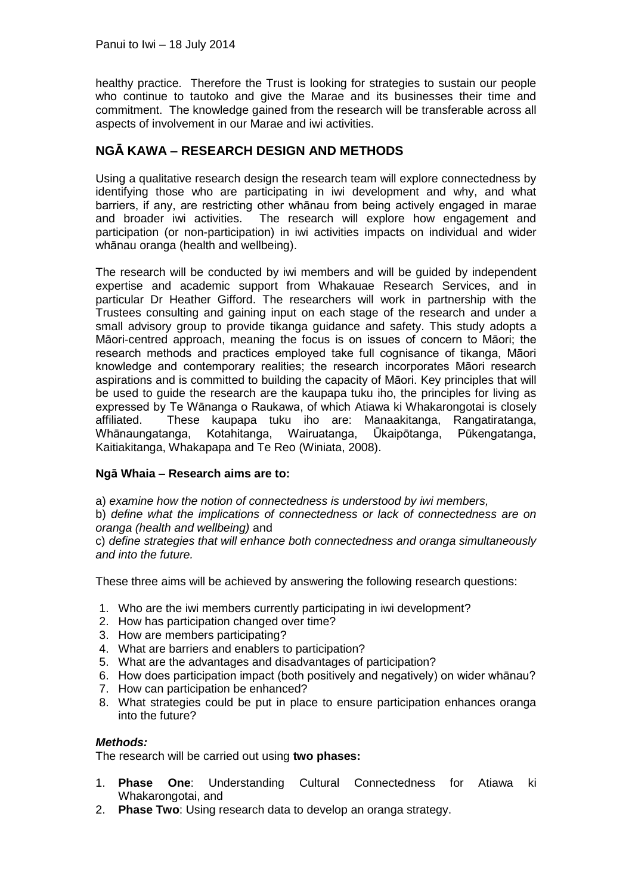healthy practice. Therefore the Trust is looking for strategies to sustain our people who continue to tautoko and give the Marae and its businesses their time and commitment. The knowledge gained from the research will be transferable across all aspects of involvement in our Marae and iwi activities.

## **NGĀ KAWA – RESEARCH DESIGN AND METHODS**

Using a qualitative research design the research team will explore connectedness by identifying those who are participating in iwi development and why, and what barriers, if any, are restricting other whānau from being actively engaged in marae and broader iwi activities. The research will explore how engagement and participation (or non-participation) in iwi activities impacts on individual and wider whānau oranga (health and wellbeing).

The research will be conducted by iwi members and will be guided by independent expertise and academic support from Whakauae Research Services, and in particular Dr Heather Gifford. The researchers will work in partnership with the Trustees consulting and gaining input on each stage of the research and under a small advisory group to provide tikanga guidance and safety. This study adopts a Māori-centred approach, meaning the focus is on issues of concern to Māori; the research methods and practices employed take full cognisance of tikanga, Māori knowledge and contemporary realities; the research incorporates Māori research aspirations and is committed to building the capacity of Māori. Key principles that will be used to guide the research are the kaupapa tuku iho, the principles for living as expressed by Te Wānanga o Raukawa, of which Atiawa ki Whakarongotai is closely affiliated. These kaupapa tuku iho are: Manaakitanga, Rangatiratanga, Whānaungatanga, Kotahitanga, Wairuatanga, Ūkaipōtanga, Pūkengatanga, Kaitiakitanga, Whakapapa and Te Reo (Winiata, 2008).

### **Ngā Whaia – Research aims are to:**

a) *examine how the notion of connectedness is understood by iwi members,* 

b) *define what the implications of connectedness or lack of connectedness are on oranga (health and wellbeing)* and

c) *define strategies that will enhance both connectedness and oranga simultaneously and into the future.* 

These three aims will be achieved by answering the following research questions:

- 1. Who are the iwi members currently participating in iwi development?
- 2. How has participation changed over time?
- 3. How are members participating?
- 4. What are barriers and enablers to participation?
- 5. What are the advantages and disadvantages of participation?
- 6. How does participation impact (both positively and negatively) on wider whānau?
- 7. How can participation be enhanced?
- 8. What strategies could be put in place to ensure participation enhances oranga into the future?

### *Methods:*

The research will be carried out using **two phases:**

- 1. **Phase One**: Understanding Cultural Connectedness for Atiawa ki Whakarongotai, and
- 2. **Phase Two**: Using research data to develop an oranga strategy.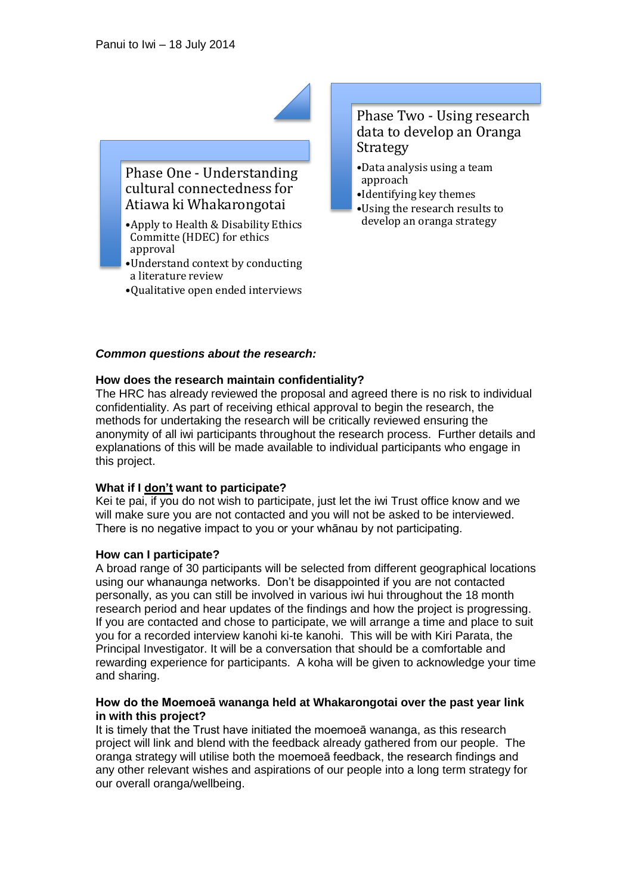

## Phase One - Understanding cultural connectedness for Atiawa ki Whakarongotai

- •Apply to Health & Disability Ethics Committe (HDEC) for ethics approval
- •Understand context by conducting a literature review
- •Qualitative open ended interviews

## Phase Two - Using research data to develop an Oranga Strategy

- •Data analysis using a team approach
- •Identifying key themes
- •Using the research results to develop an oranga strategy

#### *Common questions about the research:*

### **How does the research maintain confidentiality?**

The HRC has already reviewed the proposal and agreed there is no risk to individual confidentiality. As part of receiving ethical approval to begin the research, the methods for undertaking the research will be critically reviewed ensuring the anonymity of all iwi participants throughout the research process. Further details and explanations of this will be made available to individual participants who engage in this project.

### **What if I don't want to participate?**

Kei te pai, if you do not wish to participate, just let the iwi Trust office know and we will make sure you are not contacted and you will not be asked to be interviewed. There is no negative impact to you or your whānau by not participating.

#### **How can I participate?**

A broad range of 30 participants will be selected from different geographical locations using our whanaunga networks. Don't be disappointed if you are not contacted personally, as you can still be involved in various iwi hui throughout the 18 month research period and hear updates of the findings and how the project is progressing. If you are contacted and chose to participate, we will arrange a time and place to suit you for a recorded interview kanohi ki-te kanohi. This will be with Kiri Parata, the Principal Investigator. It will be a conversation that should be a comfortable and rewarding experience for participants. A koha will be given to acknowledge your time and sharing.

#### **How do the Moemoeā wananga held at Whakarongotai over the past year link in with this project?**

It is timely that the Trust have initiated the moemoeā wananga, as this research project will link and blend with the feedback already gathered from our people. The oranga strategy will utilise both the moemoeā feedback, the research findings and any other relevant wishes and aspirations of our people into a long term strategy for our overall oranga/wellbeing.